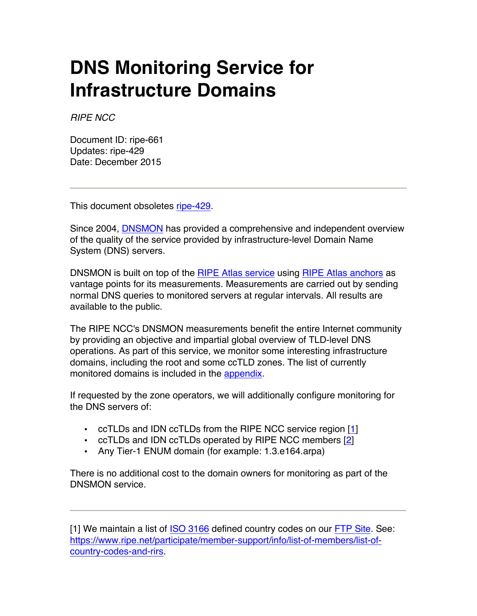## **DNS Monitoring Service for Infrastructure Domains**

*RIPE NCC*

Document ID: ripe-661 Updates: ripe-429 Date: December 2015

This document obsoletes [ripe-429.](https://www.ripe.net/publications/docs/ripe-429)

Since 2004, [DNSMON](https://atlas.ripe.net/dnsmon/) has provided a comprehensive and independent overview of the quality of the service provided by infrastructure-level Domain Name System (DNS) servers.

DNSMON is built on top of the RIPE [Atlas service](https://atlas.ripe.net) using [RIPE Atlas anchors](https://atlas.ripe.net/anchor) as vantage points for its measurements. Measurements are carried out by sending normal DNS queries to monitored servers at regular intervals. All results are available to the public.

The RIPE NCC's DNSMON measurements benefit the entire Internet community by providing an objective and impartial global overview of TLD-level DNS operations. As part of this service, we monitor some interesting infrastructure domains, including the root and some ccTLD zones. The list of currently monitored domains is included in the [appendix](#page-1-0).

If requested by the zone operators, we will additionally configure monitoring for the DNS servers of:

- ccTLDs and IDN ccTLDs from the RIPE NCC service region [[1](#page-0-0)]
- ccTLDs and IDN ccTLDs operated by RIPE NCC members [\[2\]](#page-1-1)
- Any Tier-1 ENUM domain (for example: 1.3.e164.arpa)

There is no additional cost to the domain owners for monitoring as part of the DNSMON service.

<span id="page-0-0"></span>[1] We maintain a list of [ISO 3166](http://www.iso.org/iso/country_codes/iso_3166_code_lists/country_names_and_code_elements.htm) defined country codes on our [FTP Site.](ftp://ftp.ripe.net/iso3166-countrycodes.txt) See: [https://www.ripe.net/participate/member-support/info/list-of-members/list-of](https://www.ripe.net/participate/member-support/info/list-of-members/list-of-country-codes-and-rirs)[country-codes-and-rirs.](https://www.ripe.net/participate/member-support/info/list-of-members/list-of-country-codes-and-rirs)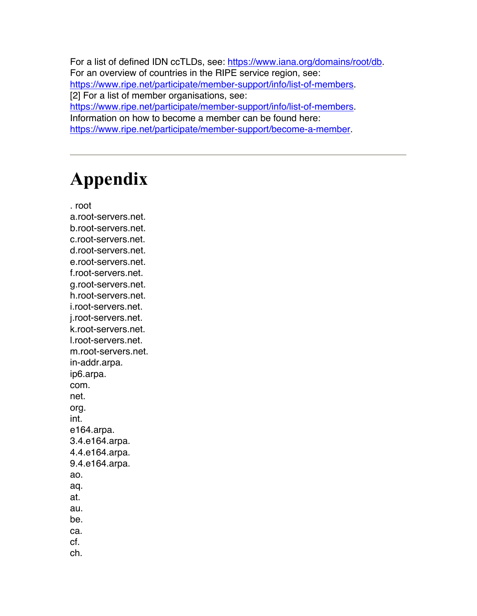<span id="page-1-1"></span>For a list of defined IDN ccTLDs, see: [https://www.iana.org/domains/root/db.](https://www.iana.org/domains/root/db) For an overview of countries in the RIPE service region, see: [https://www.ripe.net/participate/member-support/info/list-of-members.](https://www.ripe.net/participate/member-support/info/list-of-members) [2] For a list of member organisations, see: [https://www.ripe.net/participate/member-support/info/list-of-members.](https://www.ripe.net/participate/member-support/info/list-of-members) Information on how to become a member can be found here: [https://www.ripe.net/participate/member-support/become-a-member.](https://www.ripe.net/participate/member-support/become-a-member)

## <span id="page-1-0"></span>**Appendix**

. root

a.root-servers.net. b.root-servers.net. c.root-servers.net. d.root-servers.net. e.root-servers.net. f.root-servers.net. g.root-servers.net. h.root-servers.net. i.root-servers.net. j.root-servers.net. k.root-servers.net. l.root-servers.net. m.root-servers.net. in-addr.arpa. ip6.arpa. com. net. org. int. e164.arpa. 3.4.e164.arpa. 4.4.e164.arpa. 9.4.e164.arpa. ao. aq. at. au. be. ca. cf.

ch.